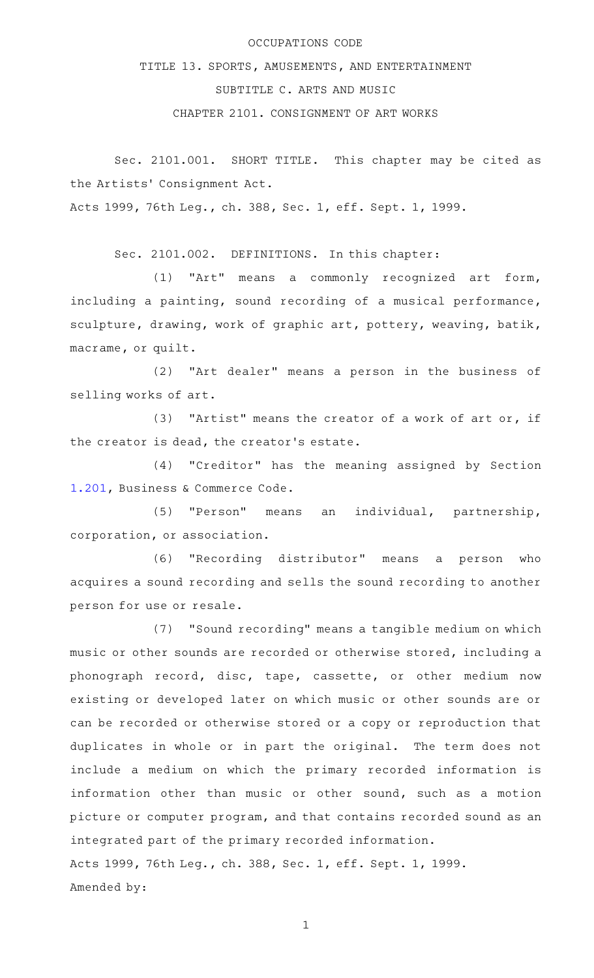## OCCUPATIONS CODE

TITLE 13. SPORTS, AMUSEMENTS, AND ENTERTAINMENT

SUBTITLE C. ARTS AND MUSIC

CHAPTER 2101. CONSIGNMENT OF ART WORKS

Sec. 2101.001. SHORT TITLE. This chapter may be cited as the Artists' Consignment Act.

Acts 1999, 76th Leg., ch. 388, Sec. 1, eff. Sept. 1, 1999.

Sec. 2101.002. DEFINITIONS. In this chapter:

 $(1)$  "Art" means a commonly recognized art form, including a painting, sound recording of a musical performance, sculpture, drawing, work of graphic art, pottery, weaving, batik, macrame, or quilt.

(2) "Art dealer" means a person in the business of selling works of art.

(3) "Artist" means the creator of a work of art or, if the creator is dead, the creator 's estate.

(4) "Creditor" has the meaning assigned by Section [1.201,](http://www.statutes.legis.state.tx.us/GetStatute.aspx?Code=BC&Value=1.201) Business & Commerce Code.

(5) "Person" means an individual, partnership, corporation, or association.

(6) "Recording distributor" means a person who acquires a sound recording and sells the sound recording to another person for use or resale.

(7) "Sound recording" means a tangible medium on which music or other sounds are recorded or otherwise stored, including a phonograph record, disc, tape, cassette, or other medium now existing or developed later on which music or other sounds are or can be recorded or otherwise stored or a copy or reproduction that duplicates in whole or in part the original. The term does not include a medium on which the primary recorded information is information other than music or other sound, such as a motion picture or computer program, and that contains recorded sound as an integrated part of the primary recorded information. Acts 1999, 76th Leg., ch. 388, Sec. 1, eff. Sept. 1, 1999. Amended by:

1